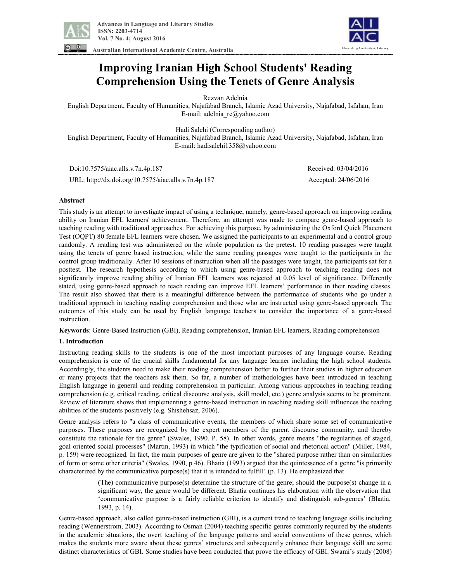

 **Advances in Language and Literary Studies ISSN: 2203-4714 Vol. 7 No. 4; August 2016** 

**Australian International Academic Centre, Australia** 



# **Improving Iranian High School Students' Reading Comprehension Using the Tenets of Genre Analysis**

Rezvan Adelnia

English Department, Faculty of Humanities, Najafabad Branch, Islamic Azad University, Najafabad, Isfahan, Iran E-mail: adelnia\_re@yahoo.com

Hadi Salehi (Corresponding author)

English Department, Faculty of Humanities, Najafabad Branch, Islamic Azad University, Najafabad, Isfahan, Iran E-mail: hadisalehi1358@yahoo.com

Doi:10.7575/aiac.alls.v.7n.4p.187 Received: 03/04/2016

URL: http://dx.doi.org/10.7575/aiac.alls.v.7n.4p.187 Accepted: 24/06/2016

# **Abstract**

This study is an attempt to investigate impact of using a technique, namely, genre-based approach on improving reading ability on Iranian EFL learners' achievement. Therefore, an attempt was made to compare genre-based approach to teaching reading with traditional approaches. For achieving this purpose, by administering the Oxford Quick Placement Test (OQPT) 80 female EFL learners were chosen. We assigned the participants to an experimental and a control group randomly. A reading test was administered on the whole population as the pretest. 10 reading passages were taught using the tenets of genre based instruction, while the same reading passages were taught to the participants in the control group traditionally. After 10 sessions of instruction when all the passages were taught, the participants sat for a posttest. The research hypothesis according to which using genre-based approach to teaching reading does not significantly improve reading ability of Iranian EFL learners was rejected at 0.05 level of significance. Differently stated, using genre-based approach to teach reading can improve EFL learners' performance in their reading classes. The result also showed that there is a meaningful difference between the performance of students who go under a traditional approach in teaching reading comprehension and those who are instructed using genre-based approach. The outcomes of this study can be used by English language teachers to consider the importance of a genre-based instruction.

**Keywords**: Genre-Based Instruction (GBI), Reading comprehension, Iranian EFL learners, Reading comprehension

# **1. Introduction**

Instructing reading skills to the students is one of the most important purposes of any language course. Reading comprehension is one of the crucial skills fundamental for any language learner including the high school students. Accordingly, the students need to make their reading comprehension better to further their studies in higher education or many projects that the teachers ask them. So far, a number of methodologies have been introduced in teaching English language in general and reading comprehension in particular. Among various approaches in teaching reading comprehension (e.g. critical reading, critical discourse analysis, skill model, etc.) genre analysis seems to be prominent. Review of literature shows that implementing a genre-based instruction in teaching reading skill influences the reading abilities of the students positively (e.g. Shishehsaz, 2006).

Genre analysis refers to "a class of communicative events, the members of which share some set of communicative purposes. These purposes are recognized by the expert members of the parent discourse community, and thereby constitute the rationale for the genre" (Swales, 1990. P. 58). In other words, genre means "the regularities of staged, goal oriented social processes" (Martin, 1993) in which "the typification of social and rhetorical action" (Miller, 1984, p. 159) were recognized. In fact, the main purposes of genre are given to the "shared purpose rather than on similarities of form or some other criteria" (Swales, 1990, p.46). Bhatia (1993) argued that the quintessence of a genre "is primarily characterized by the communicative purpose(s) that it is intended to fulfill'  $(p. 13)$ . He emphasized that

> (The) communicative purpose(s) determine the structure of the genre; should the purpose(s) change in a significant way, the genre would be different. Bhatia continues his elaboration with the observation that 'communicative purpose is a fairly reliable criterion to identify and distinguish sub-genres' (Bhatia, 1993, p. 14).

Genre-based approach, also called genre-based instruction (GBI), is a current trend to teaching language skills including reading (Wennerstrom, 2003). According to Osman (2004) teaching specific genres commonly required by the students in the academic situations, the overt teaching of the language patterns and social conventions of these genres, which makes the students more aware about these genres' structures and subsequently enhance their language skill are some distinct characteristics of GBI. Some studies have been conducted that prove the efficacy of GBI. Swami's study (2008)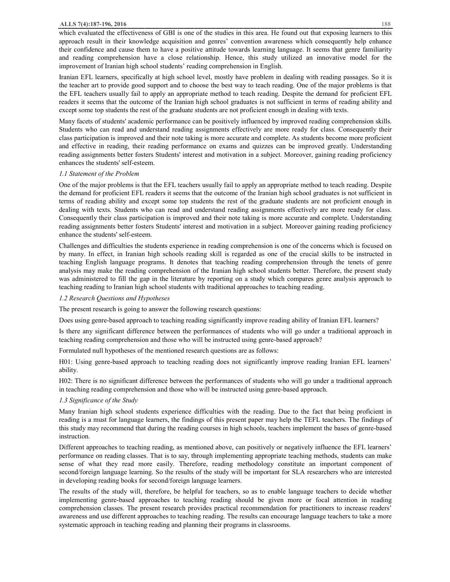which evaluated the effectiveness of GBI is one of the studies in this area. He found out that exposing learners to this approach result in their knowledge acquisition and genres' convention awareness which consequently help enhance their confidence and cause them to have a positive attitude towards learning language. It seems that genre familiarity and reading comprehension have a close relationship. Hence, this study utilized an innovative model for the improvement of Iranian high school students' reading comprehension in English.

Iranian EFL learners, specifically at high school level, mostly have problem in dealing with reading passages. So it is the teacher art to provide good support and to choose the best way to teach reading. One of the major problems is that the EFL teachers usually fail to apply an appropriate method to teach reading. Despite the demand for proficient EFL readers it seems that the outcome of the Iranian high school graduates is not sufficient in terms of reading ability and except some top students the rest of the graduate students are not proficient enough in dealing with texts.

Many facets of students' academic performance can be positively influenced by improved reading comprehension skills. Students who can read and understand reading assignments effectively are more ready for class. Consequently their class participation is improved and their note taking is more accurate and complete. As students become more proficient and effective in reading, their reading performance on exams and quizzes can be improved greatly. Understanding reading assignments better fosters Students' interest and motivation in a subject. Moreover, gaining reading proficiency enhances the students' self-esteem.

#### *1.1 Statement of the Problem*

One of the major problems is that the EFL teachers usually fail to apply an appropriate method to teach reading. Despite the demand for proficient EFL readers it seems that the outcome of the Iranian high school graduates is not sufficient in terms of reading ability and except some top students the rest of the graduate students are not proficient enough in dealing with texts. Students who can read and understand reading assignments effectively are more ready for class. Consequently their class participation is improved and their note taking is more accurate and complete. Understanding reading assignments better fosters Students' interest and motivation in a subject. Moreover gaining reading proficiency enhance the students' self-esteem.

Challenges and difficulties the students experience in reading comprehension is one of the concerns which is focused on by many. In effect, in Iranian high schools reading skill is regarded as one of the crucial skills to be instructed in teaching English language programs. It denotes that teaching reading comprehension through the tenets of genre analysis may make the reading comprehension of the Iranian high school students better. Therefore, the present study was administered to fill the gap in the literature by reporting on a study which compares genre analysis approach to teaching reading to Iranian high school students with traditional approaches to teaching reading.

## *1.2 Research Questions and Hypotheses*

The present research is going to answer the following research questions:

Does using genre-based approach to teaching reading significantly improve reading ability of Iranian EFL learners?

Is there any significant difference between the performances of students who will go under a traditional approach in teaching reading comprehension and those who will be instructed using genre-based approach?

Formulated null hypotheses of the mentioned research questions are as follows:

H01: Using genre-based approach to teaching reading does not significantly improve reading Iranian EFL learners' ability.

H02: There is no significant difference between the performances of students who will go under a traditional approach in teaching reading comprehension and those who will be instructed using genre-based approach.

# *1.3 Significance of the Study*

Many Iranian high school students experience difficulties with the reading. Due to the fact that being proficient in reading is a must for language learners, the findings of this present paper may help the TEFL teachers. The findings of this study may recommend that during the reading courses in high schools, teachers implement the bases of genre-based instruction.

Different approaches to teaching reading, as mentioned above, can positively or negatively influence the EFL learners' performance on reading classes. That is to say, through implementing appropriate teaching methods, students can make sense of what they read more easily. Therefore, reading methodology constitute an important component of second/foreign language learning. So the results of the study will be important for SLA researchers who are interested in developing reading books for second/foreign language learners.

The results of the study will, therefore, be helpful for teachers, so as to enable language teachers to decide whether implementing genre-based approaches to teaching reading should be given more or focal attention in reading comprehension classes. The present research provides practical recommendation for practitioners to increase readers' awareness and use different approaches to teaching reading. The results can encourage language teachers to take a more systematic approach in teaching reading and planning their programs in classrooms.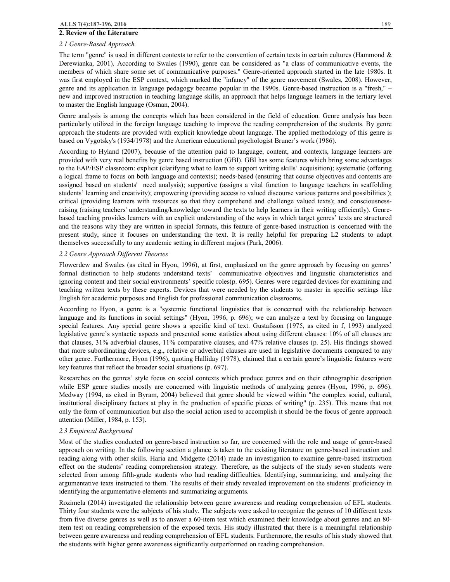#### **2. Review of the Literature**

## *2.1 Genre-Based Approach*

The term "genre" is used in different contexts to refer to the convention of certain texts in certain cultures (Hammond  $\&$ Derewianka, 2001). According to Swales (1990), genre can be considered as "a class of communicative events, the members of which share some set of communicative purposes." Genre-oriented approach started in the late 1980s. It was first employed in the ESP context, which marked the "infancy" of the genre movement (Swales, 2008). However, genre and its application in language pedagogy became popular in the 1990s. Genre-based instruction is a "fresh," – new and improved instruction in teaching language skills, an approach that helps language learners in the tertiary level to master the English language (Osman, 2004).

Genre analysis is among the concepts which has been considered in the field of education. Genre analysis has been particularly utilized in the foreign language teaching to improve the reading comprehension of the students. By genre approach the students are provided with explicit knowledge about language. The applied methodology of this genre is based on Vygotsky's (1934/1978) and the American educational psychologist Bruner's work (1986).

According to Hyland (2007), because of the attention paid to language, content, and contexts, language learners are provided with very real benefits by genre based instruction (GBI). GBI has some features which bring some advantages to the EAP/ESP classroom: explicit (clarifying what to learn to support writing skills' acquisition); systematic (offering a logical frame to focus on both language and contexts); needs-based (ensuring that course objectives and contents are assigned based on students' need analysis); supportive (assigns a vital function to language teachers in scaffolding students' learning and creativity); empowering (providing access to valued discourse various patterns and possibilities ); critical (providing learners with resources so that they comprehend and challenge valued texts); and consciousnessraising (raising teachers' understanding/knowledge toward the texts to help learners in their writing efficiently). Genrebased teaching provides learners with an explicit understanding of the ways in which target genres' texts are structured and the reasons why they are written in special formats, this feature of genre-based instruction is concerned with the present study, since it focuses on understanding the text. It is really helpful for preparing L2 students to adapt themselves successfully to any academic setting in different majors (Park, 2006).

## *2.2 Genre Approach Different Theories*

Flowerdew and Swales (as cited in Hyon, 1996), at first, emphasized on the genre approach by focusing on genres' formal distinction to help students understand texts' communicative objectives and linguistic characteristics and ignoring content and their social environments' specific roles(p. 695). Genres were regarded devices for examining and teaching written texts by these experts. Devices that were needed by the students to master in specific settings like English for academic purposes and English for professional communication classrooms.

According to Hyon, a genre is a "systemic functional linguistics that is concerned with the relationship between language and its functions in social settings" (Hyon, 1996, p. 696); we can analyze a text by focusing on language special features. Any special genre shows a specific kind of text. Gustafsson (1975, as cited in f, 1993) analyzed legislative genre's syntactic aspects and presented some statistics about using different clauses: 10% of all clauses are that clauses, 31% adverbial clauses, 11% comparative clauses, and 47% relative clauses (p. 25). His findings showed that more subordinating devices, e.g., relative or adverbial clauses are used in legislative documents compared to any other genre. Furthermore, Hyon (1996), quoting Halliday (1978), claimed that a certain genre's linguistic features were key features that reflect the broader social situations (p. 697).

Researches on the genres' style focus on social contexts which produce genres and on their ethnographic description while ESP genre studies mostly are concerned with linguistic methods of analyzing genres (Hyon, 1996, p. 696). Medway (1994, as cited in Byram, 2004) believed that genre should be viewed within "the complex social, cultural, institutional disciplinary factors at play in the production of specific pieces of writing" (p. 235). This means that not only the form of communication but also the social action used to accomplish it should be the focus of genre approach attention (Miller, 1984, p. 153).

#### *2.3 Empirical Background*

Most of the studies conducted on genre-based instruction so far, are concerned with the role and usage of genre-based approach on writing. In the following section a glance is taken to the existing literature on genre-based instruction and reading along with other skills. Haria and Midgette (2014) made an investigation to examine genre-based instruction effect on the students' reading comprehension strategy. Therefore, as the subjects of the study seven students were selected from among fifth-grade students who had reading difficulties. Identifying, summarizing, and analyzing the argumentative texts instructed to them. The results of their study revealed improvement on the students' proficiency in identifying the argumentative elements and summarizing arguments.

Rozimela (2014) investigated the relationship between genre awareness and reading comprehension of EFL students. Thirty four students were the subjects of his study. The subjects were asked to recognize the genres of 10 different texts from five diverse genres as well as to answer a 60-item test which examined their knowledge about genres and an 80 item test on reading comprehension of the exposed texts. His study illustrated that there is a meaningful relationship between genre awareness and reading comprehension of EFL students. Furthermore, the results of his study showed that the students with higher genre awareness significantly outperformed on reading comprehension.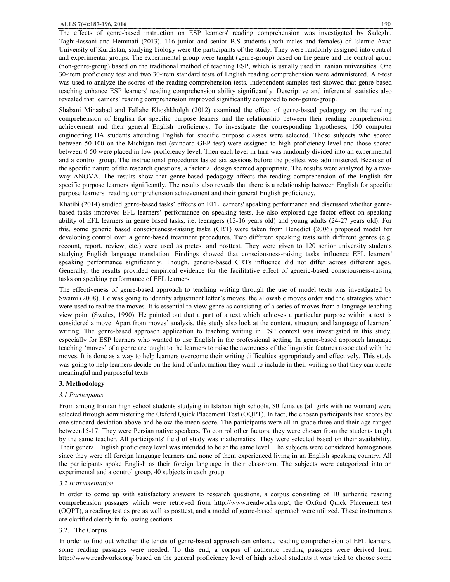The effects of genre-based instruction on ESP learners' reading comprehension was investigated by Sadeghi, TaghiHassani and Hemmati (2013). 116 junior and senior B.S students (both males and females) of Islamic Azad University of Kurdistan, studying biology were the participants of the study. They were randomly assigned into control and experimental groups. The experimental group were taught (genre-group) based on the genre and the control group (non-genre-group) based on the traditional method of teaching ESP, which is usually used in Iranian universities. One 30-item proficiency test and two 30-item standard tests of English reading comprehension were administered. A t-test was used to analyze the scores of the reading comprehension tests. Independent samples test showed that genre-based teaching enhance ESP learners' reading comprehension ability significantly. Descriptive and inferential statistics also revealed that learners' reading comprehension improved significantly compared to non-genre-group.

Shabani Minaabad and Fallahe Khoshkholgh (2012) examined the effect of genre-based pedagogy on the reading comprehension of English for specific purpose leaners and the relationship between their reading comprehension achievement and their general English proficiency. To investigate the corresponding hypotheses, 150 computer engineering BA students attending English for specific purpose classes were selected. Those subjects who scored between 50-100 on the Michigan test (standard GEP test) were assigned to high proficiency level and those scored between 0-50 were placed in low proficiency level. Then each level in turn was randomly divided into an experimental and a control group. The instructional procedures lasted six sessions before the posttest was administered. Because of the specific nature of the research questions, a factorial design seemed appropriate. The results were analyzed by a twoway ANOVA. The results show that genre-based pedagogy affects the reading comprehension of the English for specific purpose learners significantly. The results also reveals that there is a relationship between English for specific purpose learners' reading comprehension achievement and their general English proficiency.

Khatibi (2014) studied genre-based tasks' effects on EFL learners' speaking performance and discussed whether genrebased tasks improves EFL learners' performance on speaking tests. He also explored age factor effect on speaking ability of EFL learners in genre based tasks, i.e. teenagers (13-16 years old) and young adults (24-27 years old). For this, some generic based consciousness-raising tasks (CRT) were taken from Benedict (2006) proposed model for developing control over a genre-based treatment procedures. Two different speaking tests with different genres (e.g. recount, report, review, etc.) were used as pretest and posttest. They were given to 120 senior university students studying English language translation. Findings showed that consciousness-raising tasks influence EFL learners' speaking performance significantly. Though, generic-based CRTs influence did not differ across different ages. Generally, the results provided empirical evidence for the facilitative effect of generic-based consciousness-raising tasks on speaking performance of EFL learners.

The effectiveness of genre-based approach to teaching writing through the use of model texts was investigated by Swami (2008). He was going to identify adjustment letter's moves, the allowable moves order and the strategies which were used to realize the moves. It is essential to view genre as consisting of a series of moves from a language teaching view point (Swales, 1990). He pointed out that a part of a text which achieves a particular purpose within a text is considered a move. Apart from moves' analysis, this study also look at the content, structure and language of learners' writing. The genre-based approach application to teaching writing in ESP context was investigated in this study, especially for ESP learners who wanted to use English in the professional setting. In genre-based approach language teaching 'moves' of a genre are taught to the learners to raise the awareness of the linguistic features associated with the moves. It is done as a way to help learners overcome their writing difficulties appropriately and effectively. This study was going to help learners decide on the kind of information they want to include in their writing so that they can create meaningful and purposeful texts.

#### **3. Methodology**

#### *3.1 Participants*

From among Iranian high school students studying in Isfahan high schools, 80 females (all girls with no woman) were selected through administering the Oxford Quick Placement Test (OQPT). In fact, the chosen participants had scores by one standard deviation above and below the mean score. The participants were all in grade three and their age ranged between15-17. They were Persian native speakers. To control other factors, they were chosen from the students taught by the same teacher. All participants' field of study was mathematics. They were selected based on their availability. Their general English proficiency level was intended to be at the same level. The subjects were considered homogenous since they were all foreign language learners and none of them experienced living in an English speaking country. All the participants spoke English as their foreign language in their classroom. The subjects were categorized into an experimental and a control group, 40 subjects in each group.

#### *3.2 Instrumentation*

In order to come up with satisfactory answers to research questions, a corpus consisting of 10 authentic reading comprehension passages which were retrieved from http://www.readworks.org/, the Oxford Quick Placement test (OQPT), a reading test as pre as well as posttest, and a model of genre-based approach were utilized. These instruments are clarified clearly in following sections.

## 3.2.1 The Corpus

In order to find out whether the tenets of genre-based approach can enhance reading comprehension of EFL learners, some reading passages were needed. To this end, a corpus of authentic reading passages were derived from http://www.readworks.org/ based on the general proficiency level of high school students it was tried to choose some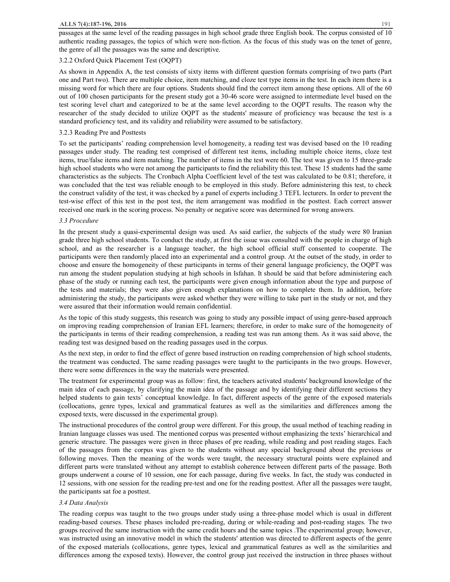passages at the same level of the reading passages in high school grade three English book. The corpus consisted of 10 authentic reading passages, the topics of which were non-fiction. As the focus of this study was on the tenet of genre, the genre of all the passages was the same and descriptive.

# 3.2.2 Oxford Quick Placement Test (OQPT)

As shown in Appendix A, the test consists of sixty items with different question formats comprising of two parts (Part one and Part two). There are multiple choice, item matching, and cloze test type items in the test. In each item there is a missing word for which there are four options. Students should find the correct item among these options. All of the 60 out of 100 chosen participants for the present study got a 30-46 score were assigned to intermediate level based on the test scoring level chart and categorized to be at the same level according to the OQPT results. The reason why the researcher of the study decided to utilize OQPT as the students' measure of proficiency was because the test is a standard proficiency test, and its validity and reliability were assumed to be satisfactory.

## 3.2.3 Reading Pre and Posttests

To set the participants' reading comprehension level homogeneity, a reading test was devised based on the 10 reading passages under study. The reading test comprised of different test items, including multiple choice items, cloze test items, true/false items and item matching. The number of items in the test were 60. The test was given to 15 three-grade high school students who were not among the participants to find the reliability this test. These 15 students had the same characteristics as the subjects. The Cronbach Alpha Coefficient level of the test was calculated to be 0.81; therefore, it was concluded that the test was reliable enough to be employed in this study. Before administering this test, to check the construct validity of the test, it was checked by a panel of experts including 3 TEFL lecturers. In order to prevent the test-wise effect of this test in the post test, the item arrangement was modified in the posttest. Each correct answer received one mark in the scoring process. No penalty or negative score was determined for wrong answers.

#### *3.3 Procedure*

In the present study a quasi-experimental design was used. As said earlier, the subjects of the study were 80 Iranian grade three high school students. To conduct the study, at first the issue was consulted with the people in charge of high school, and as the researcher is a language teacher, the high school official stuff consented to cooperate. The participants were then randomly placed into an experimental and a control group. At the outset of the study, in order to choose and ensure the homogeneity of these participants in terms of their general language proficiency, the OQPT was run among the student population studying at high schools in Isfahan. It should be said that before administering each phase of the study or running each test, the participants were given enough information about the type and purpose of the tests and materials; they were also given enough explanations on how to complete them. In addition, before administering the study, the participants were asked whether they were willing to take part in the study or not, and they were assured that their information would remain confidential.

As the topic of this study suggests, this research was going to study any possible impact of using genre-based approach on improving reading comprehension of Iranian EFL learners; therefore, in order to make sure of the homogeneity of the participants in terms of their reading comprehension, a reading test was run among them. As it was said above, the reading test was designed based on the reading passages used in the corpus.

As the next step, in order to find the effect of genre based instruction on reading comprehension of high school students, the treatment was conducted. The same reading passages were taught to the participants in the two groups. However, there were some differences in the way the materials were presented.

The treatment for experimental group was as follow: first, the teachers activated students' background knowledge of the main idea of each passage, by clarifying the main idea of the passage and by identifying their different sections they helped students to gain texts' conceptual knowledge. In fact, different aspects of the genre of the exposed materials (collocations, genre types, lexical and grammatical features as well as the similarities and differences among the exposed texts, were discussed in the experimental group).

The instructional procedures of the control group were different. For this group, the usual method of teaching reading in Iranian language classes was used. The mentioned corpus was presented without emphasizing the texts' hierarchical and generic structure. The passages were given in three phases of pre reading, while reading and post reading stages. Each of the passages from the corpus was given to the students without any special background about the previous or following moves. Then the meaning of the words were taught, the necessary structural points were explained and different parts were translated without any attempt to establish coherence between different parts of the passage. Both groups underwent a course of 10 session, one for each passage, during five weeks. In fact, the study was conducted in 12 sessions, with one session for the reading pre-test and one for the reading posttest. After all the passages were taught, the participants sat foe a posttest.

## *3.4 Data Analysis*

The reading corpus was taught to the two groups under study using a three-phase model which is usual in different reading-based courses. These phases included pre-reading, during or while-reading and post-reading stages. The two groups received the same instruction with the same credit hours and the same topics .The experimental group; however, was instructed using an innovative model in which the students' attention was directed to different aspects of the genre of the exposed materials (collocations, genre types, lexical and grammatical features as well as the similarities and differences among the exposed texts). However, the control group just received the instruction in three phases without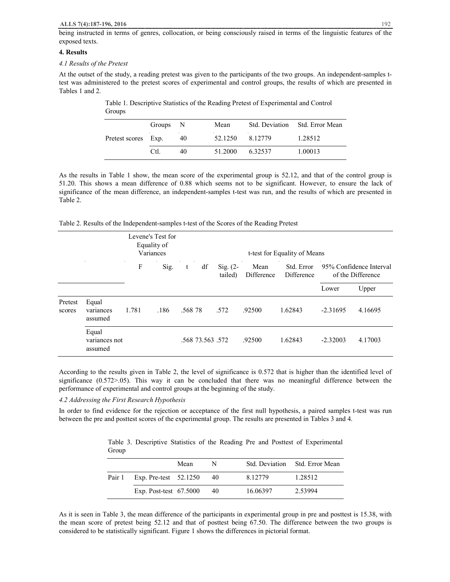being instructed in terms of genres, collocation, or being consciously raised in terms of the linguistic features of the exposed texts.

## **4. Results**

#### *4.1 Results of the Pretest*

At the outset of the study, a reading pretest was given to the participants of the two groups. An independent-samples ttest was administered to the pretest scores of experimental and control groups, the results of which are presented in Tables 1 and 2.

| Pretest scores Exp. | Groups N |    | Mean    |         | Std. Deviation Std. Error Mean |
|---------------------|----------|----|---------|---------|--------------------------------|
|                     |          | 40 | 52.1250 | 8.12779 | 1.28512                        |
|                     | Ctl.     | 40 | 51.2000 | 6.32537 | 1.00013                        |

Table 1. Descriptive Statistics of the Reading Pretest of Experimental and Control **Groups** 

As the results in Table 1 show, the mean score of the experimental group is 52.12, and that of the control group is 51.20. This shows a mean difference of 0.88 which seems not to be significant. However, to ensure the lack of significance of the mean difference, an independent-samples t-test was run, and the results of which are presented in Table 2.

Table 2. Results of the Independent-samples t-test of the Scores of the Reading Pretest

|                   |                                   | Levene's Test for<br>Equality of<br>Variances |      |         |                  |                                |                    | t-test for Equality of Means |            |                                              |
|-------------------|-----------------------------------|-----------------------------------------------|------|---------|------------------|--------------------------------|--------------------|------------------------------|------------|----------------------------------------------|
|                   |                                   | F                                             | Sig. | t       | df               | $\mathrm{Sig.}$ (2-<br>tailed) | Mean<br>Difference | Std. Error<br>Difference     |            | 95% Confidence Interval<br>of the Difference |
|                   |                                   |                                               |      |         |                  |                                |                    |                              | Lower      | Upper                                        |
| Pretest<br>scores | Equal<br>variances<br>assumed     | 1.781                                         | .186 | .568.78 |                  | .572                           | .92500             | 1.62843                      | $-2.31695$ | 4.16695                                      |
|                   | Equal<br>variances not<br>assumed |                                               |      |         | .568 73.563 .572 |                                | .92500             | 1.62843                      | $-2.32003$ | 4.17003                                      |

According to the results given in Table 2, the level of significance is 0.572 that is higher than the identified level of significance (0.572>.05). This way it can be concluded that there was no meaningful difference between the performance of experimental and control groups at the beginning of the study.

## *4.2 Addressing the First Research Hypothesis*

In order to find evidence for the rejection or acceptance of the first null hypothesis, a paired samples t-test was run between the pre and posttest scores of the experimental group. The results are presented in Tables 3 and 4.

Table 3. Descriptive Statistics of the Reading Pre and Posttest of Experimental Group

|                              | Mean | N    |          | Std. Deviation Std. Error Mean |
|------------------------------|------|------|----------|--------------------------------|
| Pair 1 Exp. Pre-test 52.1250 |      | - 40 | 8.12779  | 1.28512                        |
| Exp. Post-test $67.5000$     |      | - 40 | 16.06397 | 2.53994                        |

As it is seen in Table 3, the mean difference of the participants in experimental group in pre and posttest is 15.38, with the mean score of pretest being 52.12 and that of posttest being 67.50. The difference between the two groups is considered to be statistically significant. Figure 1 shows the differences in pictorial format.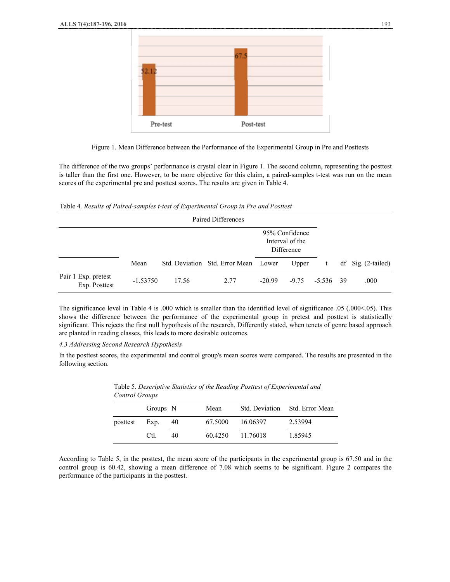

Figure 1. Mean Difference between the Performance of the Experimental Group in Pre and Posttests

The difference of the two groups' performance is crystal clear in Figure 1. The second column, representing the posttest is taller than the first one. However, to be more objective for this claim, a paired-samples t-test was run on the mean scores of the experimental pre and posttest scores. The results are given in Table 4.

Table 4*. Results of Paired-samples t-test of Experimental Group in Pre and Posttest* 

|                                      |            |       | Paired Differences                   |                                                 |       |                    |                      |
|--------------------------------------|------------|-------|--------------------------------------|-------------------------------------------------|-------|--------------------|----------------------|
|                                      |            |       |                                      | 95% Confidence<br>Interval of the<br>Difference |       |                    |                      |
|                                      | Mean       |       | Std. Deviation Std. Error Mean Lower |                                                 | Upper | t                  | $df$ Sig. (2-tailed) |
| Pair 1 Exp. pretest<br>Exp. Posttest | $-1.53750$ | 17.56 | 2.77                                 | $-20.99$                                        |       | $-9.75 - 5.536$ 39 | .000                 |

The significance level in Table 4 is .000 which is smaller than the identified level of significance .05 (.000<.05). This shows the difference between the performance of the experimental group in pretest and posttest is statistically significant. This rejects the first null hypothesis of the research. Differently stated, when tenets of genre based approach are planted in reading classes, this leads to more desirable outcomes.

## *4.3 Addressing Second Research Hypothesis*

In the posttest scores, the experimental and control group's mean scores were compared. The results are presented in the following section.

|          | Groups N |     | Mean    |          | Std. Deviation Std. Error Mean |
|----------|----------|-----|---------|----------|--------------------------------|
| posttest | Exp.     | -40 | 67.5000 | 16.06397 | 2.53994                        |
|          | Ctl.     | 40  | 60.4250 | 11.76018 | 1.85945                        |

Table 5. *Descriptive Statistics of the Reading Posttest of Experimental and Control Groups*

According to Table 5, in the posttest, the mean score of the participants in the experimental group is 67.50 and in the control group is 60.42, showing a mean difference of 7.08 which seems to be significant. Figure 2 compares the performance of the participants in the posttest.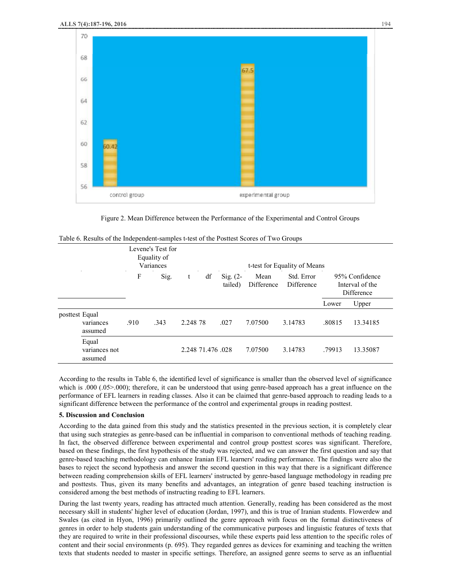

Figure 2. Mean Difference between the Performance of the Experimental and Control Groups

|                |                                   | Levene's Test for<br>Equality of<br>Variances |      | t-test for Equality of Means |                   |                       |                    |                          |        |                                                 |
|----------------|-----------------------------------|-----------------------------------------------|------|------------------------------|-------------------|-----------------------|--------------------|--------------------------|--------|-------------------------------------------------|
|                |                                   | F                                             | Sig. | t                            | df                | Sig. $(2-$<br>tailed) | Mean<br>Difference | Std. Error<br>Difference |        | 95% Confidence<br>Interval of the<br>Difference |
|                |                                   |                                               |      |                              |                   |                       |                    |                          | Lower  | Upper                                           |
| posttest Equal | variances<br>assumed              | .910                                          | .343 | 2.248.78                     |                   | .027                  | 7.07500            | 3.14783                  | .80815 | 13.34185                                        |
|                | Equal<br>variances not<br>assumed |                                               |      |                              | 2.248 71.476 .028 |                       | 7.07500            | 3.14783                  | .79913 | 13.35087                                        |

| Table 6. Results of the Independent-samples t-test of the Posttest Scores of Two Groups |  |  |
|-----------------------------------------------------------------------------------------|--|--|
|-----------------------------------------------------------------------------------------|--|--|

According to the results in Table 6, the identified level of significance is smaller than the observed level of significance which is .000 (.05>.000); therefore, it can be understood that using genre-based approach has a great influence on the performance of EFL learners in reading classes. Also it can be claimed that genre-based approach to reading leads to a significant difference between the performance of the control and experimental groups in reading posttest.

#### **5. Discussion and Conclusion**

According to the data gained from this study and the statistics presented in the previous section, it is completely clear that using such strategies as genre-based can be influential in comparison to conventional methods of teaching reading. In fact, the observed difference between experimental and control group posttest scores was significant. Therefore, based on these findings, the first hypothesis of the study was rejected, and we can answer the first question and say that genre-based teaching methodology can enhance Iranian EFL learners' reading performance. The findings were also the bases to reject the second hypothesis and answer the second question in this way that there is a significant difference between reading comprehension skills of EFL learners' instructed by genre-based language methodology in reading pre and posttests. Thus, given its many benefits and advantages, an integration of genre based teaching instruction is considered among the best methods of instructing reading to EFL learners.

During the last twenty years, reading has attracted much attention. Generally, reading has been considered as the most necessary skill in students' higher level of education (Jordan, 1997), and this is true of Iranian students. Flowerdew and Swales (as cited in Hyon, 1996) primarily outlined the genre approach with focus on the formal distinctiveness of genres in order to help students gain understanding of the communicative purposes and linguistic features of texts that they are required to write in their professional discourses, while these experts paid less attention to the specific roles of content and their social environments (p. 695). They regarded genres as devices for examining and teaching the written texts that students needed to master in specific settings. Therefore, an assigned genre seems to serve as an influential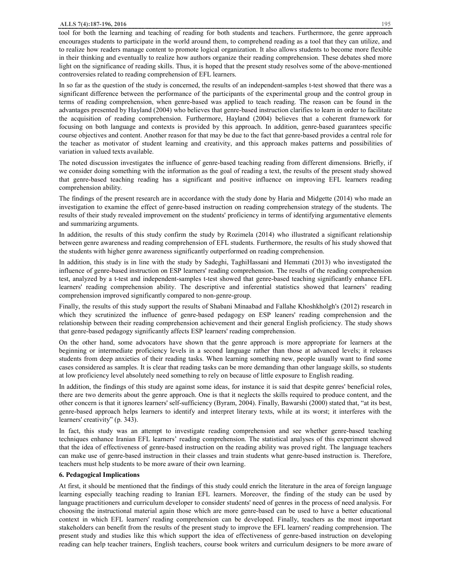#### **ALLS 7(4):187-196, 2016** 195

tool for both the learning and teaching of reading for both students and teachers. Furthermore, the genre approach encourages students to participate in the world around them, to comprehend reading as a tool that they can utilize, and to realize how readers manage content to promote logical organization. It also allows students to become more flexible in their thinking and eventually to realize how authors organize their reading comprehension. These debates shed more light on the significance of reading skills. Thus, it is hoped that the present study resolves some of the above-mentioned controversies related to reading comprehension of EFL learners.

In so far as the question of the study is concerned, the results of an independent-samples t-test showed that there was a significant difference between the performance of the participants of the experimental group and the control group in terms of reading comprehension, when genre-based was applied to teach reading. The reason can be found in the advantages presented by Hayland (2004) who believes that genre-based instruction clarifies to learn in order to facilitate the acquisition of reading comprehension. Furthermore, Hayland (2004) believes that a coherent framework for focusing on both language and contexts is provided by this approach. In addition, genre-based guarantees specific course objectives and content. Another reason for that may be due to the fact that genre-based provides a central role for the teacher as motivator of student learning and creativity, and this approach makes patterns and possibilities of variation in valued texts available.

The noted discussion investigates the influence of genre-based teaching reading from different dimensions. Briefly, if we consider doing something with the information as the goal of reading a text, the results of the present study showed that genre-based teaching reading has a significant and positive influence on improving EFL learners reading comprehension ability.

The findings of the present research are in accordance with the study done by Haria and Midgette (2014) who made an investigation to examine the effect of genre-based instruction on reading comprehension strategy of the students. The results of their study revealed improvement on the students' proficiency in terms of identifying argumentative elements and summarizing arguments.

In addition, the results of this study confirm the study by Rozimela (2014) who illustrated a significant relationship between genre awareness and reading comprehension of EFL students. Furthermore, the results of his study showed that the students with higher genre awareness significantly outperformed on reading comprehension.

In addition, this study is in line with the study by Sadeghi, TaghiHassani and Hemmati (2013) who investigated the influence of genre-based instruction on ESP learners' reading comprehension. The results of the reading comprehension test, analyzed by a t-test and independent-samples t-test showed that genre-based teaching significantly enhance EFL learners' reading comprehension ability. The descriptive and inferential statistics showed that learners' reading comprehension improved significantly compared to non-genre-group.

Finally, the results of this study support the results of Shabani Minaabad and Fallahe Khoshkholgh's (2012) research in which they scrutinized the influence of genre-based pedagogy on ESP leaners' reading comprehension and the relationship between their reading comprehension achievement and their general English proficiency. The study shows that genre-based pedagogy significantly affects ESP learners' reading comprehension.

On the other hand, some advocators have shown that the genre approach is more appropriate for learners at the beginning or intermediate proficiency levels in a second language rather than those at advanced levels; it releases students from deep anxieties of their reading tasks. When learning something new, people usually want to find some cases considered as samples. It is clear that reading tasks can be more demanding than other language skills, so students at low proficiency level absolutely need something to rely on because of little exposure to English reading.

In addition, the findings of this study are against some ideas, for instance it is said that despite genres' beneficial roles, there are two demerits about the genre approach. One is that it neglects the skills required to produce content, and the other concern is that it ignores learners' self-sufficiency (Byram, 2004). Finally, Bawarshi (2000) stated that, "at its best, genre-based approach helps learners to identify and interpret literary texts, while at its worst; it interferes with the learners' creativity" (p. 343).

In fact, this study was an attempt to investigate reading comprehension and see whether genre-based teaching techniques enhance Iranian EFL learners' reading comprehension. The statistical analyses of this experiment showed that the idea of effectiveness of genre-based instruction on the reading ability was proved right. The language teachers can make use of genre-based instruction in their classes and train students what genre-based instruction is. Therefore, teachers must help students to be more aware of their own learning.

#### **6. Pedagogical Implications**

At first, it should be mentioned that the findings of this study could enrich the literature in the area of foreign language learning especially teaching reading to Iranian EFL learners. Moreover, the finding of the study can be used by language practitioners and curriculum developer to consider students' need of genres in the process of need analysis. For choosing the instructional material again those which are more genre-based can be used to have a better educational context in which EFL learners' reading comprehension can be developed. Finally, teachers as the most important stakeholders can benefit from the results of the present study to improve the EFL learners' reading comprehension. The present study and studies like this which support the idea of effectiveness of genre-based instruction on developing reading can help teacher trainers, English teachers, course book writers and curriculum designers to be more aware of